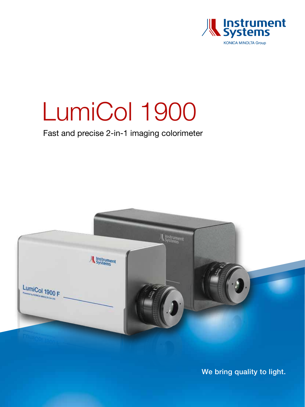

# LumiCol 1900

Fast and precise 2-in-1 imaging colorimeter



We bring quality to light.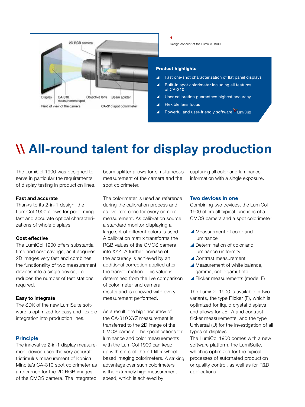

# \\ All-round talent for display production

The LumiCol 1900 was designed to serve in particular the requirements of display testing in production lines.

#### Fast and accurate

Thanks to its 2-in-1 design, the LumiCol 1900 allows for performing fast and accurate optical characterizations of whole displays.

#### Cost effective

The LumiCol 1900 offers substantial time and cost savings, as it acquires 2D images very fast and combines the functionality of two measurement devices into a single device, i.e. reduces the number of test stations required.

#### Easy to integrate

The SDK of the new LumiSuite software is optimized for easy and flexible integration into production lines.

#### Principle

The innovative 2-in-1 display measurement device uses the very accurate tristimulus measurement of Konica Minolta's CA-310 spot colorimeter as a reference for the 2D RGB images of the CMOS camera. The integrated

beam splitter allows for simultaneous measurement of the camera and the spot colorimeter.

The colorimeter is used as reference during the calibration process and as live-reference for every camera measurement. As calibration source, a standard monitor displaying a large set of different colors is used. A calibration matrix transforms the RGB values of the CMOS camera into XYZ. A further increase of the accuracy is achieved by an additional correction applied after the transformation. This value is determined from the live comparison of colorimeter and camera results and is renewed with every measurement performed.

As a result, the high accuracy of the CA-310 XYZ measurement is transferred to the 2D image of the CMOS camera. The specifications for luminance and color measurements with the LumiCol 1900 can keep up with state-of-the-art filter-wheel based imaging colorimeters. A striking advantage over such colorimeters is the extremely high measurement speed, which is achieved by

capturing all color and luminance information with a single exposure.

#### Two devices in one

Combining two devices, the LumiCol 1900 offers all typical functions of a CMOS camera and a spot colorimeter:

- A Measurement of color and luminance
- Determination of color and luminance uniformity
- ▲ Contrast measurement
- $\blacktriangle$  Measurement of white balance. gamma, color-gamut etc.
- $\blacktriangle$  Flicker measurements (model F)

The LumiCol 1900 is available in two variants, the type Flicker (F), which is optimized for liquid crystal displays and allows for JEITA and contrast flicker measurements, and the type Universal (U) for the investigation of all types of displays.

The LumiCol 1900 comes with a new software platform, the LumiSuite, which is optimized for the typical processes of automated production or quality control, as well as for R&D applications.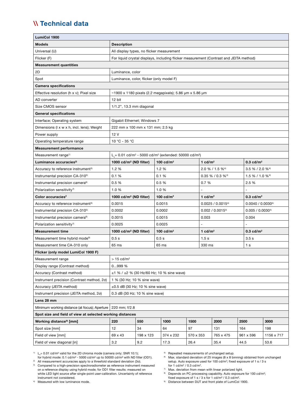### \\ Technical data

| LumiCol 1900                                                   |                                                                                            |           |             |                             |                  |                                |                             |                             |  |
|----------------------------------------------------------------|--------------------------------------------------------------------------------------------|-----------|-------------|-----------------------------|------------------|--------------------------------|-----------------------------|-----------------------------|--|
| <b>Models</b>                                                  | <b>Description</b>                                                                         |           |             |                             |                  |                                |                             |                             |  |
| Universal (U)                                                  | All display types, no flicker measurement                                                  |           |             |                             |                  |                                |                             |                             |  |
| Flicker (F)                                                    | For liquid crystal displays, including flicker measurement (Contrast and JEITA method)     |           |             |                             |                  |                                |                             |                             |  |
| <b>Measurement quantities</b>                                  |                                                                                            |           |             |                             |                  |                                |                             |                             |  |
| 2D                                                             | Luminance, color                                                                           |           |             |                             |                  |                                |                             |                             |  |
| Spot                                                           | Luminance, color, flicker (only model F)                                                   |           |             |                             |                  |                                |                             |                             |  |
| <b>Camera specifications</b>                                   |                                                                                            |           |             |                             |                  |                                |                             |                             |  |
| Effective resolution (h x v); Pixel size                       | ~1900 x 1180 pixels (2.2 megapixels); 5.86 µm x 5.86 µm                                    |           |             |                             |                  |                                |                             |                             |  |
| AD converter                                                   | 12 bit                                                                                     |           |             |                             |                  |                                |                             |                             |  |
| Size CMOS sensor                                               | 1/1.2", 13.3 mm diagonal                                                                   |           |             |                             |                  |                                |                             |                             |  |
| <b>General specifications</b>                                  |                                                                                            |           |             |                             |                  |                                |                             |                             |  |
| Interface; Operating system                                    | Gigabit Ethernet; Windows 7                                                                |           |             |                             |                  |                                |                             |                             |  |
| Dimensions (I x w x h, incl. lens); Weight                     | 222 mm x 100 mm x 131 mm; 2.5 kg                                                           |           |             |                             |                  |                                |                             |                             |  |
| Power supply                                                   | 12 V                                                                                       |           |             |                             |                  |                                |                             |                             |  |
| Operating temperature range                                    | 10 °C - 35 °C                                                                              |           |             |                             |                  |                                |                             |                             |  |
| <b>Measurement performance</b>                                 |                                                                                            |           |             |                             |                  |                                |                             |                             |  |
| Measurement range <sup>1)</sup>                                | $L = 0.01$ cd/m <sup>2</sup> - 5000 cd/m <sup>2</sup> (extended: 50000 cd/m <sup>2</sup> ) |           |             |                             |                  |                                |                             |                             |  |
| Luminance accuracies <sup>2)</sup>                             | 1000 cd/m <sup>2</sup> (ND filter)                                                         |           | 100 $cd/m2$ |                             | 1 $cd/m2$        |                                | $0.3$ cd/m <sup>2</sup>     |                             |  |
| Accuracy to reference instrument <sup>3)</sup>                 | 1.2 %<br>1.2 %                                                                             |           |             | 2.0 % / 1.5 % <sup>4)</sup> |                  |                                | 3.5 % / 2.0 % <sup>4)</sup> |                             |  |
| Instrumental precision CA-310 <sup>5)</sup>                    | 0.1%                                                                                       |           | 0.1%        |                             |                  | $0.35\% / 0.3\%$ <sup>4)</sup> |                             | 1.5 % / 1.0 % <sup>4)</sup> |  |
| Instrumental precision camera <sup>6)</sup>                    | 0.5 %                                                                                      | 0.5 %     |             |                             | 0.7%             |                                | 2.5%                        |                             |  |
| Polarization sensitivity <sup>7)</sup>                         | 1.0%                                                                                       |           | 1.0%        |                             | L.               |                                | ÷.                          |                             |  |
| Color accuracies <sup>2</sup>                                  | 1000 cd/m <sup>2</sup> (ND filter)                                                         |           | 100 $cd/m2$ |                             | 1 $cd/m2$        |                                |                             | $0.3$ cd/m <sup>2</sup>     |  |
| Accuracy to reference instrument <sup>3)</sup>                 | 0.0015                                                                                     |           | 0.0015      |                             | 0.0025 / 0.00154 |                                |                             | $0.0040 / 0.0030^{4}$       |  |
| Instrumental precision CA-310 <sup>5)</sup>                    | 0.0002                                                                                     |           | 0.0002      |                             | 0.002 / 0.00154  |                                |                             | 0.005 / 0.00304             |  |
| Instrumental precision camera <sup>6)</sup>                    | 0.0015                                                                                     |           | 0.0015      |                             | 0.003            |                                | 0.004                       |                             |  |
| Polarization sensitivity <sup>7)</sup>                         | 0.0025                                                                                     |           | 0.0025      |                             |                  |                                |                             |                             |  |
| <b>Measurement time</b>                                        | 1000 cd/m <sup>2</sup> (ND filter)                                                         |           | 100 $cd/m2$ |                             | 1 $cd/m2$        |                                |                             | $0.3$ cd/m <sup>2</sup>     |  |
| Measurement time hybrid mode <sup>8)</sup>                     | 0.5s                                                                                       |           | 0.5s        |                             | 1.5 <sub>s</sub> |                                | 3.5 <sub>s</sub>            |                             |  |
| Measurement time CA-310 only                                   | 65 ms                                                                                      |           | 65 ms       |                             | 330 ms           |                                | 1 <sub>s</sub>              |                             |  |
| Flicker (only model LumiCol 1900 F)                            |                                                                                            |           |             |                             |                  |                                |                             |                             |  |
| Measurement range                                              | $> 15$ cd/m <sup>2</sup>                                                                   |           |             |                             |                  |                                |                             |                             |  |
| Display range (Contrast method)                                | 0999 %                                                                                     |           |             |                             |                  |                                |                             |                             |  |
| Accuracy (Contrast method)                                     | $\pm$ 1 % / $\pm$ 2 % (30 Hz/60 Hz; 10 % sine wave)                                        |           |             |                             |                  |                                |                             |                             |  |
| Instrument precision (Contrast method, 20)                     | 1 % (30 Hz; 10 % sine wave)                                                                |           |             |                             |                  |                                |                             |                             |  |
| Accuracy (JEITA method)                                        | $\pm 0.5$ dB (30 Hz; 10 % sine wave)                                                       |           |             |                             |                  |                                |                             |                             |  |
| Instrument precision (JEITA method, 2o)                        | 0.3 dB (30 Hz; 10 % sine wave)                                                             |           |             |                             |                  |                                |                             |                             |  |
| Lens 28 mm                                                     |                                                                                            |           |             |                             |                  |                                |                             |                             |  |
| Minimum working distance (at focus); Aperture<br>220 mm; f/2.8 |                                                                                            |           |             |                             |                  |                                |                             |                             |  |
| Spot size and field of view at selected working distances      |                                                                                            |           |             |                             |                  |                                |                             |                             |  |
| Working distance <sup>9</sup> [mm]                             | 220                                                                                        | 550       | 1000        | 1500                        |                  | 2000                           | 2500                        | 3000                        |  |
| Spot size [mm]                                                 | 12                                                                                         | 34        | 64          | 97                          |                  | 131                            | 164                         | 198                         |  |
| Field of view [mm]                                             | 69 x 43                                                                                    | 198 x 123 | 374 x 232   | 570 x 353                   |                  | 765 x 475                      | 961 x 596                   | 1156 x 717                  |  |
| Field of view diagonal [in]                                    | 3.2                                                                                        | 9.2       | 17.3        | 26.4                        |                  | 35.4                           | 44.5                        | 53.6                        |  |

<sup>1)</sup> L<sub>v</sub>= 0.01 cd/m<sup>2</sup> valid for the 2D chroma mode (camera only; SNR 10:1);<br>for hybrid mode: 0.1 cd/m<sup>2</sup> - 5000 cd/m<sup>2</sup> up to 50000 cd/m<sup>2</sup> with ND filter (OD1).<br><sup>2)</sup> All measurement accuracies apply to a threefold stan

<sup>3)</sup> Compared to a high-precision spectroradiometer as reference instrument measured on a reference display using hybrid mode; for OD1 filter results: measured on white LED light source after single-point user-calibration. Uncertainty of reference instrument not considered.

4) Measured with low luminance mode.

5) Repeated measurements of unchanged setup.

 $6$  Max. standard deviation of 25 images (8 x 8 binning) obtained from unchanged setup. Auto exposure used for 100 cd/m<sup>2</sup>; fixed exposure of 1 s / 3 s for  $1$  cd/m<sup>2</sup> / 0.3 cd/m<sup>2</sup>.

 $7\,$  Max. deviation from mean with linear polarized light.

<sup>8)</sup> Depends on PC processing capability. Auto exposure for 100 cd/m<sup>2</sup>; fixed exposure of 1 s / 3 s for 1 cd/m<sup>2</sup> / 0.3 cd/m<sup>2</sup>.

9) Distance between DUT and front plate of LumiCol 1900.